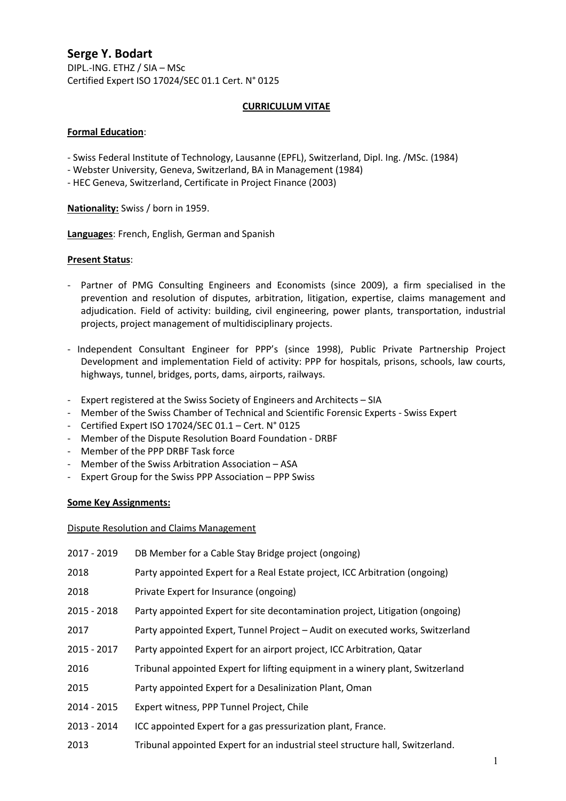# Serge Y. Bodart

DIPL.-ING. ETHZ / SIA – MSc Certified Expert ISO 17024/SEC 01.1 Cert. N° 0125

## CURRICULUM VITAE

## Formal Education:

- Swiss Federal Institute of Technology, Lausanne (EPFL), Switzerland, Dipl. Ing. /MSc. (1984)
- Webster University, Geneva, Switzerland, BA in Management (1984)
- HEC Geneva, Switzerland, Certificate in Project Finance (2003)

Nationality: Swiss / born in 1959.

Languages: French, English, German and Spanish

#### Present Status:

- Partner of PMG Consulting Engineers and Economists (since 2009), a firm specialised in the prevention and resolution of disputes, arbitration, litigation, expertise, claims management and adjudication. Field of activity: building, civil engineering, power plants, transportation, industrial projects, project management of multidisciplinary projects.
- Independent Consultant Engineer for PPP's (since 1998), Public Private Partnership Project Development and implementation Field of activity: PPP for hospitals, prisons, schools, law courts, highways, tunnel, bridges, ports, dams, airports, railways.
- Expert registered at the Swiss Society of Engineers and Architects SIA
- Member of the Swiss Chamber of Technical and Scientific Forensic Experts Swiss Expert
- Certified Expert ISO 17024/SEC 01.1 Cert. N° 0125
- Member of the Dispute Resolution Board Foundation DRBF
- Member of the PPP DRBF Task force
- Member of the Swiss Arbitration Association ASA
- Expert Group for the Swiss PPP Association PPP Swiss

#### Some Key Assignments:

Dispute Resolution and Claims Management

| 2017 - 2019 | DB Member for a Cable Stay Bridge project (ongoing)                            |
|-------------|--------------------------------------------------------------------------------|
| 2018        | Party appointed Expert for a Real Estate project, ICC Arbitration (ongoing)    |
| 2018        | Private Expert for Insurance (ongoing)                                         |
| 2015 - 2018 | Party appointed Expert for site decontamination project, Litigation (ongoing)  |
| 2017        | Party appointed Expert, Tunnel Project - Audit on executed works, Switzerland  |
| 2015 - 2017 | Party appointed Expert for an airport project, ICC Arbitration, Qatar          |
| 2016        | Tribunal appointed Expert for lifting equipment in a winery plant, Switzerland |
| 2015        | Party appointed Expert for a Desalinization Plant, Oman                        |
| 2014 - 2015 | Expert witness, PPP Tunnel Project, Chile                                      |
| 2013 - 2014 | ICC appointed Expert for a gas pressurization plant, France.                   |
| 2013        | Tribunal appointed Expert for an industrial steel structure hall, Switzerland. |
|             |                                                                                |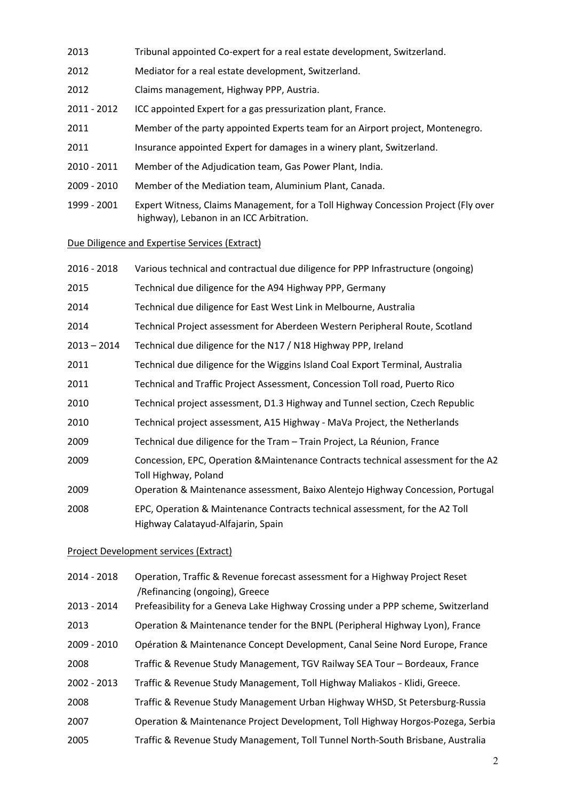- 2013 Tribunal appointed Co-expert for a real estate development, Switzerland.
- 2012 Mediator for a real estate development, Switzerland.
- 2012 Claims management, Highway PPP, Austria.
- 2011 2012 ICC appointed Expert for a gas pressurization plant, France.
- 2011 Member of the party appointed Experts team for an Airport project, Montenegro.
- 2011 Insurance appointed Expert for damages in a winery plant, Switzerland.
- 2010 2011 Member of the Adjudication team, Gas Power Plant, India.
- 2009 2010 Member of the Mediation team, Aluminium Plant, Canada.
- 1999 2001 Expert Witness, Claims Management, for a Toll Highway Concession Project (Fly over highway), Lebanon in an ICC Arbitration.

#### Due Diligence and Expertise Services (Extract)

| 2016 - 2018   | Various technical and contractual due diligence for PPP Infrastructure (ongoing)                                   |
|---------------|--------------------------------------------------------------------------------------------------------------------|
| 2015          | Technical due diligence for the A94 Highway PPP, Germany                                                           |
| 2014          | Technical due diligence for East West Link in Melbourne, Australia                                                 |
| 2014          | Technical Project assessment for Aberdeen Western Peripheral Route, Scotland                                       |
| $2013 - 2014$ | Technical due diligence for the N17 / N18 Highway PPP, Ireland                                                     |
| 2011          | Technical due diligence for the Wiggins Island Coal Export Terminal, Australia                                     |
| 2011          | Technical and Traffic Project Assessment, Concession Toll road, Puerto Rico                                        |
| 2010          | Technical project assessment, D1.3 Highway and Tunnel section, Czech Republic                                      |
| 2010          | Technical project assessment, A15 Highway - MaVa Project, the Netherlands                                          |
| 2009          | Technical due diligence for the Tram - Train Project, La Réunion, France                                           |
| 2009          | Concession, EPC, Operation & Maintenance Contracts technical assessment for the A2<br>Toll Highway, Poland         |
| 2009          | Operation & Maintenance assessment, Baixo Alentejo Highway Concession, Portugal                                    |
| 2008          | EPC, Operation & Maintenance Contracts technical assessment, for the A2 Toll<br>Highway Calatayud-Alfajarin, Spain |

#### Project Development services (Extract)

| 2014 - 2018   | Operation, Traffic & Revenue forecast assessment for a Highway Project Reset<br>/Refinancing (ongoing), Greece |
|---------------|----------------------------------------------------------------------------------------------------------------|
| 2013 - 2014   | Prefeasibility for a Geneva Lake Highway Crossing under a PPP scheme, Switzerland                              |
| 2013          | Operation & Maintenance tender for the BNPL (Peripheral Highway Lyon), France                                  |
| 2009 - 2010   | Opération & Maintenance Concept Development, Canal Seine Nord Europe, France                                   |
| 2008          | Traffic & Revenue Study Management, TGV Railway SEA Tour - Bordeaux, France                                    |
| $2002 - 2013$ | Traffic & Revenue Study Management, Toll Highway Maliakos - Klidi, Greece.                                     |
| 2008          | Traffic & Revenue Study Management Urban Highway WHSD, St Petersburg-Russia                                    |
| 2007          | Operation & Maintenance Project Development, Toll Highway Horgos-Pozega, Serbia                                |
| 2005          | Traffic & Revenue Study Management, Toll Tunnel North-South Brisbane, Australia                                |